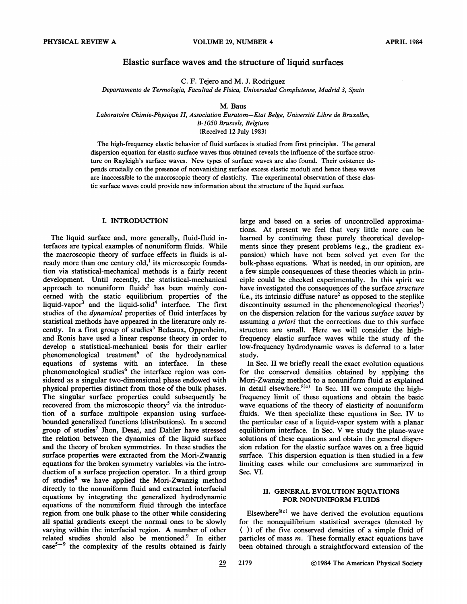# Elastic surface waves and the structure of liquid surfaces

C. F. Tejero and M. J. Rodriguez

Departamento de Termologia, Facultad de Fisica, Universidad Complutense, Madrid 3, Spain

#### M. Baus

Laboratoire Chimie-Physique II, Association Euratom —Etat Beige, Universite Libre de Bruxelles, B-1050 Brussels, Belgium

(Received 12 July 1983)

The high-frequency elastic behavior of fluid surfaces is studied from first principles. The general dispersion equation for elastic surface waves thus obtained reveals the infIuence of the surface structure on Rayleigh's surface waves. New types of surface waves are also found. Their existence depends crucially on the presence of nonvanishing surface excess elastic moduli and hence these waves are inaccessible to the macroscopic theory of elasticity. The experimental observation of these elastic surface waves could provide new information about the structure of the liquid surface.

## I. INTRODUCTION

The liquid surface and, more generally, fluid-fluid interfaces are typical examples of nonuniform fluids. While the macroscopic theory of surface effects in fluids is already more than one century old,<sup>1</sup> its microscopic foundation via statistical-mechanical methods is a fairly recent development. Until recently, the statistical-mechanical approach to nonuniform fluids<sup>2</sup> has been mainly concerned with the static equilibrium properties of the liquid-vapor<sup>3</sup> and the liquid-solid<sup>4</sup> interface. The first studies of the dynamica/ properties of fluid interfaces by statistical methods have appeared in the literature only recently. In a first group of studies<sup>5</sup> Bedeaux, Oppenheim, and Ronis have used a linear response theory in order to develop a statistical-mechanical basis for their earlier phenomenological treatment<sup>6</sup> of the hydrodynamic equations of systems with an interface. In these phenomenological studies<sup>6</sup> the interface region was considered as a singular two-dimensional phase endowed with physical properties distinct from those of the bulk phases. The singular surface properties could subsequently be recovered from the microscopic theory<sup>5</sup> via the introduction of a surface multipole expansion using surfacebounded generalized functions (distributions). In a second group of studies<sup>7</sup> Jhon, Desai, and Dahler have stressed the relation between the dynamics of the liquid surface and the theory of broken symmetries. In these studies the surface properties were extracted from the Mori-Zwanzig equations for the broken symmetry variables via the introduction of a surface projection operator. In a third group of studies<sup>8</sup> we have applied the Mori-Zwanzig method directly to the nonuniform fluid and extracted interfacial equations by integrating the generalized hydrodynamic equations of the nonuniform fluid through the interface region from one bulk phase to the other while considering all spatial gradients except the normal ones to be slowly varying within the interfacial region. A number of other related studies should also be mentioned.<sup>9</sup> In either  $case<sup>5-9</sup>$  the complexity of the results obtained is fairly

large and based on a series of uncontrolled approximations. At present we feel that very little more can be learned by continuing these purely theoretical developments since they present problems (e.g., the gradient expansion) which have not been solved yet even for the bulk-phase equations. What is needed, in our opinion, are a few simple consequences of these theories which in principle could be checked experimentally. In this spirit we have investigated the consequences of the surface *structure* i.e., its intrinsic diffuse nature<sup>2</sup> as opposed to the steplike discontinuity assumed in the phenomenological theories<sup>1</sup>) on the dispersion relation for the various surface waves by assuming a priori that the corrections due to this surface structure are small. Here we will consider the highfrequency elastic surface waves while the study of the low-frequency hydrodynamic waves is deferred to a later study.

In Sec. II we briefly recall the exact evolution equations for the conserved densities obtained by applying the Mori-Zwanzig method to a nonuniform fluid as explained in detail elsewhere.<sup>8(c)</sup> In Sec. III we compute the highfrequency limit of these equations and obtain the basic wave equations of the theory of elasticity of nonuniform fluids. We then specialize these equations in Sec. IV to the particular case of a liquid-vapor system with a planar equilibrium interface. In Sec. V we study the plane-wave solutions of these equations and obtain the general dispersion relation for the elastic surface waves on a free liquid surface. This dispersion equation is then studied in a few limiting cases while our conclusions are summarized in Sec. VI.

# II. GENERAL EVOLUTION EQUATIONS FOR NONUNIFORM FLUIDS

Elsewhere<sup>8(c)</sup> we have derived the evolution equations for the nonequilibrium statistical averages (denoted by ( )) of the five conserved densities of a simple fluid of particles of mass m. These formally exact equations have been obtained through a straightforward extension of the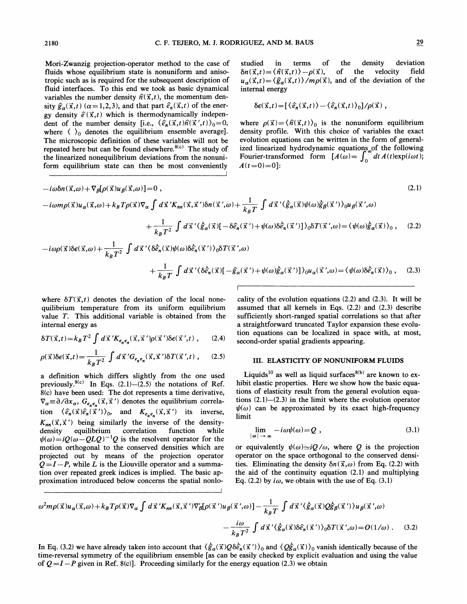Mori-Zwanzig projection-operator method to the case of fluids whose equilibrium state is nonuniform and amsotropic such as is required for the subsequent description of fluid interfaces. To this end we took as basic dynamical variables the number density  $\hat{n}(\vec{x}, t)$ , the momentum density  $\hat{\mathfrak{g}}_{\alpha}(\vec{x},t)$  ( $\alpha = 1,2,3$ ), and that part  $\hat{\mathfrak{e}}_{n}(\vec{x},t)$  of the energy density  $\hat{e}(\vec{x},t)$  which is thermodynamically independent of the number density [i.e.,  $\langle \hat{e}_n(\vec{x},t) \hat{n}(\vec{x}',t) \rangle_0 = 0$ , where  $\langle \ \rangle_0$  denotes the equilibrium ensemble average]. The microscopic definition of these variables will not be where  $\sqrt{2}$  denotes the equinorium ensemble average.<br>The microscopic definition of these variables will not be repeated here but can be found elsewhere.<sup>8(c)</sup> The study of the linearized nonequilibrium deviations from the nonuniform equilibrium state can then be most conveniently

studied in terms of the density deviation  $\delta n(\vec{x}, t) = \langle \hat{n}(\vec{x}, t) \rangle - \rho(\vec{x}),$  of the velocity field  $u_{\alpha}(\vec{x}, t) = \langle \hat{g}_{\alpha}(\vec{x}, t) \rangle/m\rho(\vec{x})$ , and of the deviation of the internal energy

$$
\delta \epsilon(\vec{x},t) = [\langle \hat{e}_n(\vec{x},t) \rangle - \langle \hat{e}_n(\vec{x},t) \rangle_0]/\rho(\vec{x}),
$$

where  $\rho(\vec{x}) = \langle \hat{n}(\vec{x}, t) \rangle_0$  is the nonuniform equilibrium density profile. With this choice of variables the exact evolution equations can be written in the form of generalized linearized hydrodynamic equations of the following Even incertized hydrodynamic equations of the following<br>Fourier-transformed form  $[A(\omega)] = \int_0^{\infty} dt A(t) \exp(i\omega t);$  $A(t=0)=0$ :

$$
-i\omega\delta n(\vec{x},\omega) + \nabla_{\beta}[\rho(\vec{x})u_{\beta}(\vec{x},\omega)] = 0,
$$
\n
$$
-i\omega\eta(\vec{x})u_{\alpha}(\vec{x},\omega) + k_{B}T\rho(\vec{x})\nabla_{\alpha}\int d\vec{x}^{\prime}K_{nn}(\vec{x},\vec{x}^{\prime})\delta n(\vec{x}^{\prime},\omega) + \frac{1}{k_{B}T}\int d\vec{x}^{\prime}\langle\hat{g}_{\alpha}(\vec{x})\psi(\omega)\hat{g}_{\beta}(\vec{x}^{\prime})\rangle_{0}\mu_{\beta}(\vec{x}^{\prime},\omega) \n+ \frac{1}{k_{B}T^{2}}\int d\vec{x}^{\prime}\langle\hat{g}_{\alpha}(\vec{x})[-\delta\hat{e}_{n}(\vec{x}^{\prime}) + \psi(\omega)\delta\hat{e}_{n}(\vec{x}^{\prime})]\rangle_{0}\delta T(\vec{x}^{\prime},\omega) = \langle\psi(\omega)\hat{g}_{\alpha}(\vec{x})\rangle_{0}, \quad (2.2)
$$
\n
$$
-i\omega\rho(\vec{x})\delta\epsilon(\vec{x},\omega) + \frac{1}{k_{B}T^{2}}\int d\vec{x}^{\prime}\langle\delta\hat{e}_{n}(\vec{x})\psi(\omega)\delta\hat{e}_{n}(\vec{x}^{\prime})\rangle_{0}\delta T(\vec{x}^{\prime},\omega) \n+ \frac{1}{k_{B}T}\int d\vec{x}^{\prime}\langle\delta\hat{e}_{n}(\vec{x})[-\hat{g}_{\alpha}(\vec{x}^{\prime}) + \psi(\omega)\hat{g}_{\alpha}(\vec{x}^{\prime})]\rangle_{0}\mu_{\alpha}(\vec{x}^{\prime},\omega) = \langle\psi(\omega)\delta\hat{e}_{n}(\vec{x})\rangle_{0}, \quad (2.3)
$$

where  $\delta T(\vec{x},t)$  denotes the deviation of the local nonequilibrium temperature from its uniform equilibrium value T. This additional variable is obtained from the internal energy as

$$
\delta T(\vec{x},t) = k_B T^2 \int d\vec{x}^{\,\prime} K_{e_n e_n}(\vec{x},\vec{x}^{\,\prime}) \rho(\vec{x}^{\,\prime}) \delta \epsilon(\vec{x}^{\,\prime},t) , \qquad (2.4)
$$

$$
\rho(\vec{x})\delta\epsilon(\vec{x},t) = \frac{1}{k_B T^2} \int d\vec{x} \,^{\prime} G_{e_n e_n}(\vec{x}, \vec{x}^{\prime}) \delta T(\vec{x}^{\prime},t) \;, \tag{2.5}
$$

a definition which differs slightly from the one used a definition which differs slightly from the one used<br>previously.<sup>8(c)</sup> In Eqs.  $(2.1)$ – $(2.5)$  the notations of Ref. 8(c) have been used: The dot represents a time derivative,  $\nabla_{\alpha} \equiv \partial/\partial x_{\alpha}, G_{e_n e_n}(\vec{x}, \vec{x}')$  denotes the equilibrium correlation  $\langle \hat{e}_n(\vec{x})\hat{e}_n(\vec{x}') \rangle_0$ , and  $K_{e_n e_n}(\vec{x}, \vec{x}')$  its inverse,  $K_{nn}(\vec{x}, \vec{x}')$  being similarly the inverse of the densitydensity equilibrium correlation function while  $\psi(\omega) = iQ(\omega - QLQ)^{-1}Q$  is the resolvent operator for the motion orthogonal to the conserved densities which are projected out by means of the projection operator  $Q = I - P$ , while L is the Liouville operator and a summation over repeated greek indices is implied. The basic approximation introduced below concerns the spatial nonlo-

cality of the evolution equations (2.2) and (2.3). It will be assumed that all kernels in Eqs. (2.2) and (2.3) describe sufficiently short-ranged spatial correlations so that after a straightforward truncated Taylor expansion these evolution equations can be localized in space with, at most, second-order spatial gradients appearing.

# III. ELASTICITY OF NONUNIFORM FLUIDS

Liquids<sup>10</sup> as well as liquid surfaces<sup>8(b)</sup> are known to exhibit elastic properties. Here we show how the basic equations of elasticity result from the general evolution equations  $(2.1)$ - $(2.3)$  in the limit where the evolution operator  $\psi(\omega)$  can be approximated by its exact high-frequency limit

$$
\lim_{|\omega| \to \infty} -i\omega\psi(\omega) = Q \tag{3.1}
$$

or equivalently  $\psi(\omega) \sim iQ/\omega$ , where Q is the projection operator on the space orthogonal to the conserved densities. Eliminating the density  $\delta n(\vec{x}, \omega)$  from Eq. (2.2) with the aid of the continuity equation (2.1) and multiplying Eq. (2.2) by  $i\omega$ , we obtain with the use of Eq. (3.1)

$$
\omega^2 m \rho(\vec{x}) u_{\alpha}(\vec{x}, \omega) + k_B T \rho(\vec{x}) \nabla_{\alpha} \int d\vec{x}^{\,\prime} K_{nn}(\vec{x}, \vec{x}^{\,\prime}) \nabla'_{\beta} [\rho(\vec{x}^{\,\prime}) u_{\beta}(\vec{x}^{\,\prime}, \omega)] - \frac{1}{k_B T} \int d\vec{x}^{\,\prime} \langle \dot{\hat{g}}_{\alpha}(\vec{x}) Q \dot{\hat{g}}_{\beta}(\vec{x}^{\,\prime}) \rangle u_{\beta}(\vec{x}^{\,\prime}, \omega)
$$

$$
- \frac{i \omega}{k_B T^2} \int d\vec{x}^{\,\prime} \langle \dot{\hat{g}}_{\alpha}(\vec{x}) \delta \hat{e}_{n}(\vec{x}^{\,\prime}) \rangle_{0} \delta T(\vec{x}^{\,\prime}, \omega) = O(1/\omega) \ . \tag{3.2}
$$

In Eq. (3.2) we have already taken into account that  $\langle \hat{g}_{\alpha}(\vec{x})Q\delta\hat{e}_{n}(\vec{x}')\rangle_{0}$  and  $\langle Q\hat{g}_{\alpha}(\vec{x})\rangle_{0}$  vanish identically because of the time-reversal symmetry of the equilibrium ensemble [as can be easily checked by explicit evaluation and using the value of  $Q = I - P$  given in Ref. 8(c)]. Proceeding similarly for the energy equation (2.3) we obtain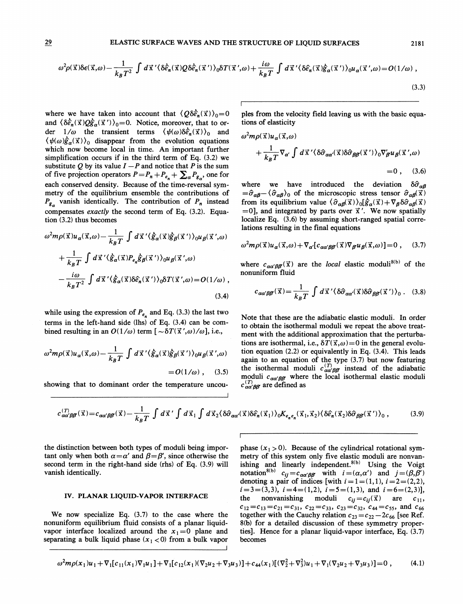$$
\omega^2 \rho(\vec{x}) \delta \epsilon(\vec{x}, \omega) - \frac{1}{k_B T^2} \int d\vec{x}' \langle \delta \hat{e}_n(\vec{x}) Q \delta \hat{e}_n(\vec{x}') \rangle_0 \delta T(\vec{x}', \omega) + \frac{i\omega}{k_B T} \int d\vec{x}' \langle \delta \hat{e}_n(\vec{x}) \dot{\hat{g}}_{\alpha}(\vec{x}') \rangle_0 u_{\alpha}(\vec{x}', \omega) = O(1/\omega) ,
$$
\n(3.3)

where we have taken into account that  $\langle Q\delta\hat{e}_n(\vec{x})\rangle_0=0$ and  $\langle \delta \hat{e}_n(\vec{x}) Q \hat{g}_\alpha(\vec{x}') \rangle_0 = 0$ . Notice, moreover, that to order  $1/\omega$  the transient terms  $\langle \psi(\omega) \delta \hat{e}_n(\vec{x}) \rangle_0$  and  $\langle \psi(\omega) \hat{g}_{\alpha}(\vec{x}) \rangle_0$  disappear from the evolution equations which now become local in time. An important further simplification occurs if in the third term of Eq. (3.2) we substitute Q by its value  $I - P$  and notice that P is the sum of five projection operators  $P=P_n+P_{e_n} + \sum_{\alpha} P_{g_{\alpha}}$ , one for each conserved density. Because of the time-reversal symmetry of the equilibrium ensemble the contributions of  $P_{g_n}$  vanish identically. The contribution of  $P_n$  instead compensates exactly the second term of Eq. (3.2). Equation (3.2) thus becomes

$$
\omega^2 m \rho(\vec{x}) u_{\alpha}(\vec{x}, \omega) - \frac{1}{k_B T} \int d\vec{x}' \langle \hat{g}_{\alpha}(\vec{x}) \hat{g}_{\beta}(\vec{x}') \rangle_0 u_{\beta}(\vec{x}', \omega)
$$
  
+ 
$$
\frac{1}{k_B T} \int d\vec{x}' \langle \hat{g}_{\alpha}(\vec{x}) P_{e_n} \hat{g}_{\beta}(\vec{x}') \rangle_0 u_{\beta}(\vec{x}', \omega)
$$
  
- 
$$
\frac{i\omega}{k_B T^2} \int d\vec{x}' \langle \hat{g}_{\alpha}(\vec{x}) \delta \hat{e}_n(\vec{x}') \rangle_0 \delta T(\vec{x}', \omega) = O(1/\omega) ,
$$
(3.4)

while using the expression of  $P_{e_n}$  and Eq. (3.3) the last two terms in the left-hand side (lhs) of Eq. (3.4) can be combined resulting in an  $O(1/\omega)$  term  $[-\delta T(\vec{x}', \omega)/\omega]$ , i.e.,

$$
\omega^2 m \rho(\vec{x}) u_{\alpha}(\vec{x}, \omega) - \frac{1}{k_B T} \int d\vec{x}' \langle \hat{g}_{\alpha}(\vec{x}) \hat{g}_{\beta}(\vec{x}') \rangle_0 u_{\beta}(\vec{x}', \omega)
$$
  
=  $O(1/\omega)$ , (3.5)

showing that to dominant order the temperature uncou-

ples from the velocity field leaving us with the basic equations of elasticity

$$
\omega^2 m \rho(\vec{x}) u_{\alpha}(\vec{x}, \omega)
$$
  
+  $\frac{1}{k_B T} \nabla_{\alpha'} \int d\vec{x}' \langle \delta \hat{\sigma}_{\alpha \alpha'}(\vec{x}) \delta \hat{\sigma}_{\beta \beta'}(\vec{x}') \rangle_0 \nabla'_{\beta} u_{\beta}(\vec{x}', \omega)$   
= 0 , (3.6)

where we have introduced the deviation  $\delta \hat{\sigma}_{\alpha\beta}$  $=\hat{\sigma}_{\alpha\beta} - \langle \hat{\sigma}_{\alpha\beta} \rangle_0$  of the microscopic stress tensor  $\hat{\sigma}_{\alpha\beta}(\vec{x})$ from its equilibrium value  $\langle \hat{\sigma}_{\alpha\beta}(\vec{x})\rangle_0[\hat{g}_{\alpha}(\vec{x})+\nabla_{\beta}\delta\hat{\sigma}_{\alpha\beta}(\vec{x})]$  $=0$ , and integrated by parts over  $\vec{x}'$ . We now spatially localize Eq. (3.6) by assuming short-ranged spatial correlations resulting in the final equations

$$
\omega^2 m \rho(\vec{x}) u_{\alpha}(\vec{x}, \omega) + \nabla_{\alpha'} [c_{\alpha \alpha' \beta \beta}(\vec{x}) \nabla_{\beta} u_{\beta}(\vec{x}, \omega)] = 0 , \quad (3.7)
$$

where  $c_{\alpha\alpha'\beta\beta'}(\vec{x})$  are the local elastic moduli<sup>8(b)</sup> of the nonuniform fluid

$$
c_{\alpha\alpha'\beta\beta'}(\vec{x}) = \frac{1}{k_B T} \int d\vec{x}' \langle \delta \hat{\sigma}_{\alpha\alpha'}(\vec{x}) \delta \hat{\sigma}_{\beta\beta'}(\vec{x}') \rangle_0 . \quad (3.8)
$$

Note that these are the adiabatic elastic moduli. In order to obtain the isothermal moduli we repeat the above treatment with the additional approximation that the perturbations are isothermal, i.e.,  $\delta T(\vec{x}, \omega) = 0$  in the general evolution equation (2.2) or equivalently in Eq. (3.4). This leads again to an equation of the type (3.7) but now featuring the isothermal moduli  $c^{(T)}_{\alpha\alpha'\beta\beta'}$  instead of the adiabatic moduli  $c_{\alpha\alpha'\beta\beta'}$  where the local isothermal elastic moduli  $c_{\alpha\alpha'BB}^{(1)}$  are defined as

$$
c_{\alpha\alpha'\beta\beta'}^{(T)}(\vec{x}) = c_{\alpha\alpha'\beta\beta'}(\vec{x}) - \frac{1}{k_B T} \int d\vec{x}' \int d\vec{x}_1 \int d\vec{x}_2 \langle \delta \hat{\sigma}_{\alpha\alpha'}(\vec{x}) \delta \hat{e}_n(\vec{x}_1) \rangle_0 K_{e_n e_n}(\vec{x}_1, \vec{x}_2) \langle \delta \hat{e}_n(\vec{x}_2) \delta \hat{\sigma}_{\beta\beta'}(\vec{x}') \rangle_0 , \qquad (3.9)
$$

the distinction between both types of moduli being important only when both  $\alpha = \alpha'$  and  $\beta = \beta'$ , since otherwise the second term in the right-hand side (rhs) of Eq. (3.9) will vanish identically.

# IV. PLANAR LIQUID-VAPOR INTERFACE

We now specialize Eq. (3.7) to the case where the nonuniform equilibrium fluid consists of a planar liquidvapor interface localized around the  $x_1 = 0$  plane and separating a bulk liquid phase  $(x<sub>1</sub> < 0)$  from a bulk vapor phase  $(x<sub>1</sub> > 0)$ . Because of the cylindrical rotational symmetry of this system only five elastic moduli are nonvanishing and linearly independent.<sup>8(b)</sup> Using the Voigt notation<sup>8(b)</sup>  $c_{ij} = c_{\alpha\alpha'\beta\beta'}$  with  $i = (\alpha, \alpha')$  and  $j = (\beta, \beta')$ denoting a pair of indices [with  $i = 1 = (1,1)$ ,  $i = 2 = (2,2)$ ,  $i=3=(3,3), i=4=(1,2), i=5=(1,3),$  and  $i=6=(2,3)$ ], the nonvanishing moduli  $c_{ij}=c_{ij}(\vec{x})$ are  $c_{11}$ ,  $c_{12}=c_{13}=c_{21}=c_{31}$ ,  $c_{22}=c_{33}$ ,  $c_{23}=c_{32}$ ,  $c_{44}=c_{55}$ , and  $c_{66}$ together with the Cauchy relation  $c_{23} = c_{22} - 2c_{66}$  [see Ref. 8(b) for a detailed discussion of these symmetry properties]. Hence for a planar liquid-vapor interface, Eq. (3.7) becomes

$$
\omega^2 m \rho(x_1) u_1 + \nabla_1 [c_{11}(x_1) \nabla_1 u_1] + \nabla_1 [c_{12}(x_1) (\nabla_2 u_2 + \nabla_3 u_3)] + c_{44}(x_1) [(\nabla_2^2 + \nabla_3^2) u_1 + \nabla_1 (\nabla_2 u_2 + \nabla_3 u_3)] = 0,
$$
\n(4.1)

p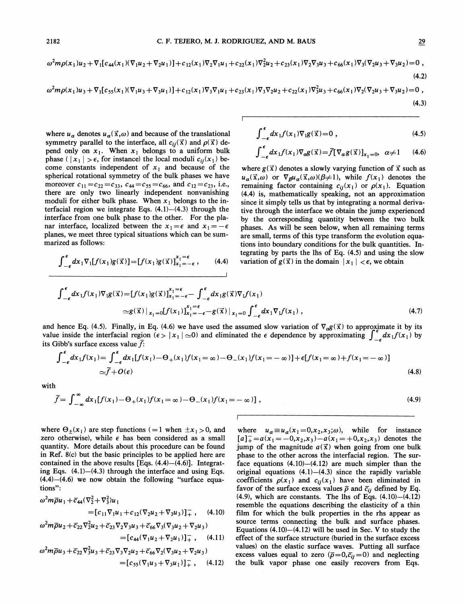$$
\omega^2 m \rho(x_1) u_2 + \nabla_1 [c_{44}(x_1)(\nabla_1 u_2 + \nabla_2 u_1)] + c_{12}(x_1) \nabla_2 \nabla_1 u_1 + c_{22}(x_1) \nabla_2^2 u_2 + c_{23}(x_1) \nabla_2 \nabla_3 u_3 + c_{66}(x_1) \nabla_3 (\nabla_2 u_3 + \nabla_3 u_2) = 0,
$$
\n(4.2)

$$
\omega^2 m \rho(x_1) u_3 + \nabla_1 [c_{55}(x_1)(\nabla_1 u_3 + \nabla_3 u_1)] + c_{12}(x_1) \nabla_3 \nabla_1 u_1 + c_{23}(x_1) \nabla_3 \nabla_2 u_2 + c_{22}(x_1) \nabla_3^2 u_3 + c_{66}(x_1) \nabla_2 (\nabla_2 u_3 + \nabla_3 u_2) = 0,
$$
\n(4.3)

where  $u_{\alpha}$  denotes  $u_{\alpha}(\vec{x}, \omega)$  and because of the translational symmetry parallel to the interface, all  $c_{ij}(\vec{x})$  and  $\rho(\vec{x})$  depend only on  $x_1$ . When  $x_1$  belongs to a uniform bulk phase ( $|x_1| > \epsilon$ , for instance) the local moduli  $c_{ij}(x_1)$  become constants independent of  $x_1$  and because of the spherical rotational symmetry of the bulk phases we have moreover  $c_{11} = c_{22} = c_{33}$ ,  $c_{44} = c_{55} = c_{66}$ , and  $c_{12} = c_{23}$ , i.e., there are only two linearly independent nonvanishing moduli for either bulk phase. When  $x_1$  belongs to the interfacial region we integrate Eqs.  $(4.1)$ - $(4.3)$  through the interface from one bulk phase to the other. For the planar interface, localized between the  $x_1 = \epsilon$  and  $x_1 = -\epsilon$ planes, we meet three typical situations which can be summarized as follows:

$$
\int_{-\epsilon}^{\epsilon} dx_1 \nabla_1[f(x_1)g(\vec{x})] = [f(x_1)g(\vec{x})]_{x_1 = -\epsilon}^{x_1 = \epsilon}, \qquad (4.4)
$$

$$
\int_{-\epsilon}^{\epsilon} dx_1 f(x_1) \nabla_1 g(\vec{x}) = 0 , \qquad (4.5)
$$

$$
\int_{-\epsilon}^{\epsilon} dx_1 f(x_1) \nabla_{\alpha} g(\vec{x}) = \bar{f} [\nabla_{\alpha} g(\vec{x})]_{x_1 = 0}, \ \alpha \neq 1 \qquad (4.6)
$$

where  $g(\vec{x})$  denotes a slowly varying function of  $\vec{x}$  such as  $u_{\alpha}(\vec{x},\omega)$  or  $\nabla_{\beta}u_{\alpha}(\vec{x},\omega)(\beta\neq 1)$ , while  $f(x_1)$  denotes the remaining factor containing  $c_{ij}(x_1)$  or  $\rho(x_1)$ . Equation (4.4) is, mathematically speaking, not an approximation since it simply tells us that by integrating a normal derivative through the interface we obtain the jump experienced by the corresponding quantity between the two bulk phases. As will be seen below, when all remaining terms are small, terms of this type transform the evolution equations into boundary conditions for the bulk quantities. Integrating by parts the lhs of Eq. (4.5) and using the slow variation of  $g(\vec{x})$  in the domain  $|x_1| < \epsilon$ , we obtain

$$
\int_{-\epsilon}^{\epsilon} dx_1 f(x_1) \nabla_1 g(\vec{x}) = [f(x_1) g(\vec{x})]_{x_1 = -\epsilon}^{x_1 = \epsilon} - \int_{-\epsilon}^{\epsilon} dx_1 g(\vec{x}) \nabla_1 f(x_1)
$$
  
\n
$$
\approx g(\vec{x}) |_{x_1 = 0} [f(x_1)]_{x_1 = -\epsilon}^{x_1 = \epsilon} - g(\vec{x}) |_{x_1 = 0} \int_{-\epsilon}^{\epsilon} dx_1 \nabla_1 f(x_1) ,
$$
\n(4.7)

and hence Eq. (4.5). Finally, in Eq. (4.6) we have used the assumed slow variation of  $\nabla_{\alpha} g(\vec{x})$  to approximate it by its value inside the interfacial region ( $\epsilon > |x_1| \approx 0$ ) and eliminated the  $\epsilon$  dependence by approximating  $\int_{-\epsilon}^{\infty} dx_1 f(x_1)$  by its Gibb's surface excess value  $\bar{f}$ :

$$
\int_{-\epsilon}^{\epsilon} dx_1 f(x_1) = \int_{-\epsilon}^{\epsilon} dx_1 [f(x_1) - \Theta_+(x_1) f(x_1 = \infty) - \Theta_-(x_1) f(x_1 = -\infty)] + \epsilon [f(x_1 = \infty) + f(x_1 = -\infty)]
$$
  
\n
$$
\approx \bar{f} + O(\epsilon)
$$
\n(4.8)

with

$$
\bar{f} = \int_{-\infty}^{\infty} dx_1 [f(x_1) - \Theta_+(x_1) f(x_1 = \infty) - \Theta_-(x_1) f(x_1 = -\infty)],
$$
\n(4.9)

where  $\Theta_{\pm}(x_1)$  are step functions (=1 when  $\pm x_1 > 0$ , and zero otherwise), while  $\epsilon$  has been considered as a small quantity. More details about this procedure can be found in Ref. 8(c} but the basic principles to be applied here are contained in the above results [Eqs.  $(4.4)$ – $(4.6)$ ]. Integrating Eqs.  $(4.1)$ — $(4.3)$  through the interface and using Eqs.  $(4.4)$ – $(4.6)$  we now obtain the following "surface equations":

$$
\omega^2 m \overline{\rho} u_1 + \overline{c}_{44} (\nabla_2^2 + \nabla_3^2) u_1
$$
  
=  $[c_{11} \nabla_1 u_1 + c_{12} (\nabla_2 u_2 + \nabla_3 u_3)]_+^-$ , (4.10)

$$
\omega^2 m \overline{\rho} u_2 + \overline{c}_{22} \nabla_2^2 u_2 + \overline{c}_{23} \nabla_2 \nabla_3 u_3 + \overline{c}_{66} \nabla_3 (\nabla_3 u_2 + \nabla_2 u_3) \n= [c_{44} (\nabla_1 u_2 + \nabla_2 u_1)]_+^-, \quad (4.11)
$$
  
\n
$$
\omega^2 m \overline{\rho} u_3 + \overline{c}_{22} \nabla_3^2 u_3 + \overline{c}_{23} \nabla_3 \nabla_2 u_2 + \overline{c}_{66} \nabla_2 (\nabla_3 u_2 + \nabla_2 u_3)
$$

$$
\begin{aligned} \n\sigma^2 m \overline{\rho} u_3 + \overline{c}_{22} \nabla_3^2 u_3 + \overline{c}_{23} \nabla_3 \nabla_2 u_2 + \overline{c}_{66} \nabla_2 (\nabla_3 u_2 + \nabla_2 u_3) \\
= [\n\overline{c}_{55} (\nabla_1 u_3 + \nabla_3 u_1)]_+^{\mathrm{T}} \,, \quad (4.12)\n\end{aligned}
$$

where  $u_{\alpha} \equiv u_{\alpha}(x_1=0,x_2,x_3;\omega)$ , while for instance  $[a]_+^{\dagger} = a(x_1 = -0, x_2, x_3) - a(x_1 = +0, x_2, x_3)$  denotes the jump of the magnitude  $a(\vec{x})$  when going from one bulk phase to the other across the interfacial region. The surface equations  $(4.10)$ - $(4.12)$  are much simpler than the original equations  $(4.1)$ - $(4.3)$  since the rapidly variable coefficients  $\rho(x_1)$  and  $c_{ij}(x_1)$  have been eliminated in favor of the surface excess values  $\bar{\rho}$  and  $\bar{c}_{ij}$  defined by Eq.  $(4.9)$ , which are constants. The lhs of Eqs.  $(4.10)$ - $(4.12)$ resemble the equations describing the elasticity of a thin film for which the bulk properties in the rhs appear as source terms connecting the bulk and surface phases. Equations  $(4.10)$ — $(4.12)$  will be used in Sec. V to study the effect of the surface structure (buried in the surface excess values) on the elastic surface waves. Putting all surface excess values equal to zero ( $\bar{\rho}=0, \bar{c}_{ii}=0$ ) and neglecting the bulk vapor phase one easily recovers from Eqs.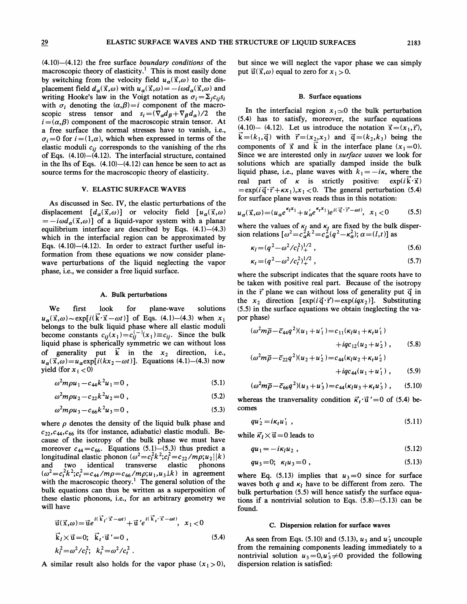$(4.10)$ - $(4.12)$  the free surface boundary conditions of the macroscopic theory of elasticity.<sup>1</sup> This is most easily done by switching from the velocity field  $u_{\alpha}(\vec{x}, \omega)$  to the displacement field  $d_{\alpha}(\vec{x}, \omega)$  with  $u_{\alpha}(\vec{x}, \omega)=-i\omega d_{\alpha}(\vec{x}, \omega)$  and writing Hooke's law in the Voigt notation as  $\sigma_i = \sum_j c_{ij} s_i$ . with  $\sigma_i$  denoting the  $(\alpha, \beta) = i$  component of the macroscopic stress tensor and  $s_i = (\nabla_{\alpha} d_{\beta} + \nabla_{\beta} d_{\alpha})/2$  the  $i = (\alpha, \beta)$  component of the macroscopic strain tensor. At a free surface the normal stresses have to vanish, i.e.,  $\sigma_i = 0$  for  $i = (1, \alpha)$ , which when expressed in terms of the elastic moduli  $c_{ij}$  corresponds to the vanishing of the rhs of Eqs. (4.10)—(4.12). The interfacial structure, contained in the lhs of Eqs.  $(4.10)$ - $(4.12)$  can hence be seen to act as source terms for the macroscopic theory of elasticity.

#### V. ELASTIC SURFACE WAVES

As discussed in Sec. IV, the elastic perturbations of the displacement  $[d_{\alpha}(\vec{x},\omega)]$  or velocity field  $[u_{\alpha}(\vec{x},\omega)]$  $\vec{a} = -i\omega d_{\alpha}(\vec{x},\omega)$  of a liquid-vapor system with a planar equilibrium interface are described by Eqs. (4.1)—(4.3) which in the interfacial region can be approximated by Eqs. (4.10)—(4.12). In order to extract further useful information from these equations we now consider planewave perturbations of the liquid neglecting the vapor phase, i.e., we consider a free liquid surface.

#### A. Bulk perturbations

We first look for plane-wave solutions  $u_{\alpha}(\vec{x}, \omega) \sim \exp[i(\vec{k} \cdot \vec{x} - \omega t)]$  of Eqs. (4.1)–(4.3) when  $x_1$ belongs to the bulk liquid phase where all elastic moduli become constants  $c_{ij}(x_1)=c_{ij}^{(-)}(x_1)\equiv c_{ij}$ . Since the bulk liquid phase is spherically symmetric we can without loss of generality put  $\overrightarrow{k}$  in the  $x_2$  direction, i.e.,  $u_{\alpha}(\vec{x}, \omega) = u_{\alpha} \exp[i(kx_2 - \omega t)]$ . Equations (4.1)–(4.3) now yield (for  $x_1 < 0$ )

$$
\omega^2 m \rho u_1 - c_{44} k^2 u_1 = 0 \tag{5.1}
$$

$$
\omega^2 m \rho u_2 - c_{22} k^2 u_2 = 0 , \qquad (5.2)
$$

$$
\omega^2 m \rho u_3 - c_{66} k^2 u_3 = 0 \tag{5.3}
$$

where  $\rho$  denotes the density of the liquid bulk phase and  $c_{22}, c_{44}, c_{66}$  its (for instance, adiabatic) elastic moduli. Because of the isotropy of the bulk phase we must have moreover  $c_{44} = c_{66}$ . Equations (5.1)–(5.3) thus predict a longitudinal elastic phonon  $(\omega^2 = c_1^2 k^2; c_1^2 = c_{22}/m\rho; u_2 || k )$ and two identical transverse elastic phonons  $(\omega^2 = c_t^2 k^2; c_t^2 = c_{44}/m\rho = c_{66}/m\rho; u_1, u_3 \perp k)$  in agreement with the macroscopic theory.<sup>1</sup> The general solution of the with the macroscopic theory. The general solution of the<br>bulk equations can thus be written as a superposition of<br>these elastic phonons, i.e., for an arbitrary geometry we<br>will have<br> $\vec{u}(\vec{x}, \omega) = \vec{u}e^{i(\vec{k}_l \cdot \vec{x} - \omega t)} +$ these elastic phonons, i.e., for an arbitrary geometry we will have

$$
\begin{aligned}\n\vec{u}(\vec{x},\omega) &= \vec{u}e^{i(\vec{k}_t \cdot \vec{x} - \omega t)} + \vec{u}'e^{i(\vec{k}_t \cdot \vec{x} - \omega t)}, \quad x_1 < 0 \\
\vec{k}_l \times \vec{u} &= 0; \quad \vec{k}_t \cdot \vec{u}' = 0 \,, \quad (5.4) \\
k_l^2 &= \omega^2/c_l^2; \quad k_t^2 = \omega^2/c_t^2 \,. \n\end{aligned}
$$

A similar result also holds for the vapor phase  $(x_1 > 0)$ ,

but since we will neglect the vapor phase we can simply put  $\vec{u}(\vec{x}, \omega)$  equal to zero for  $x_1 > 0$ .

### B. Surface equations

In the interfacial region  $x_1 \approx 0$  the bulk perturbation (5.4) has to satisfy, moreover, the surface equations (4.10)—(4.12). Let us introduce the notation  $\vec{x} = (x_1, \vec{r})$ ,  $k=(k_1, \vec{q})$  with  $\vec{r}=(x_2, x_3)$  and  $\vec{q}=(k_2, k_3)$  being the components of  $\vec{x}$  and  $\vec{k}$  in the interface plane  $(x_1 = 0)$ . Since we are interested only in *surface waves* we look for solutions which are spatially damped inside the bulk liquid phase, i.e., plane waves with  $k_1 = -i\kappa$ , where the real part of  $\kappa$  is strictly positive:  $\exp(i\vec{k}\cdot\vec{x})$  $=\exp(i\vec{q}\cdot\vec{r}+\kappa x_1), x_1 < 0$ . The general perturbation (5.4) for surface plane waves reads thus in this notation:

$$
u_{\alpha}(\vec{x},\omega) = (u_{\alpha}e^{\kappa_l x_1} + u_{\alpha}'e^{\kappa_l x_1})e^{i(\vec{q}\cdot\vec{r}-\omega t)}, \quad x_1 < 0 \tag{5.5}
$$

where the values of  $\kappa_l$  and  $\kappa_t$  are fixed by the bulk disper-<br>ion relations  $\left[\omega^2 = c_\alpha^2 k^2 = c_\alpha^2 (q^2 - \kappa_\alpha^2); \alpha = (l,t)\right]$  as

$$
\kappa_l = (q^2 - \omega^2/c_l^2)_{+}^{1/2}, \qquad (5.6)
$$

$$
\kappa_t = (q^2 - \omega^2/c_t^2)_+^{1/2},\tag{5.7}
$$

where the subscript indicates that the square roots have to be taken with positive real part. Because of the isotropy in the  $\vec{r}$  plane we can without loss of generality put  $\vec{q}$  in the  $x_2$  direction  $[\exp(i\vec{q}\cdot\vec{r})=\exp(iqx_2)]$ . Substituting (5.5) in the surface equations we obtain (neglecting the vapor phase)

$$
(\omega^2 m \overline{\rho} - \overline{c}_{44} q^2)(u_1 + u_1') = c_{11} (\kappa_l u_1 + \kappa_l u_1') + i q c_{12} (u_2 + u_2'), \qquad (5.8)
$$

$$
(\omega^2 m \overline{\rho} - \overline{c}_{22} q^2)(u_2 + u_2') = c_{44} (\kappa_l u_2 + \kappa_l u_2') + i q c_{44} (u_1 + u_1'), \qquad (5.9)
$$

$$
(\omega^2 m \overline{\rho} - \overline{c}_{66} q^2)(u_3 + u'_3) = c_{44}(\kappa_l u_3 + \kappa_l u'_3) , \qquad (5.10)
$$

whereas the tranversality condition  $\vec{k}_t \cdot \vec{u}' = 0$  of (5.4) becomes

$$
qu_2' = i\kappa_t u_1' \t\t(5.11)
$$

while  $\vec{\kappa}_l \times \vec{u} = 0$  leads to

$$
qu_1 = -i\kappa_l u_2 \t{5.12}
$$

$$
qu_3=0; \ \kappa_l u_3=0 , \qquad \qquad (5.13)
$$

where Eq. (5.13) implies that  $u_3=0$  since for surface waves both q and  $\kappa_l$  have to be different from zero. The bulk perturbation (5.5) will hence satisfy the surface equations if a nontrivial solution to Eqs.  $(5.8)$ - $(5.13)$  can be found.

### C. Dispersion relation for surface waves

As seen from Eqs. (5.10) and (5.13),  $u_3$  and  $u'_3$  uncouple from the remaining components leading immediately to a nontrivial solution  $u_3=0, u'_3\neq 0$  provided the following dispersion relation is satisfied: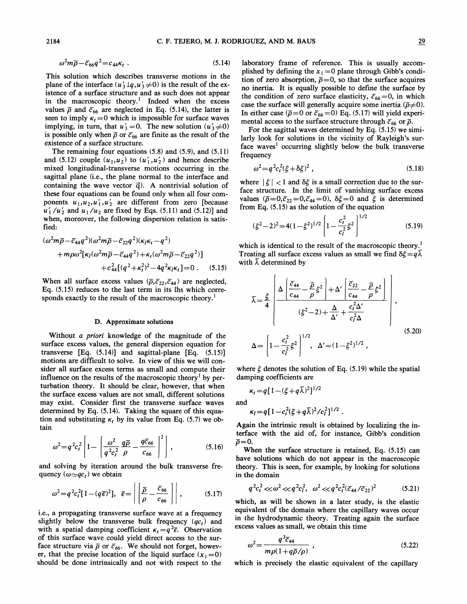$$
\omega^2 m \overline{\rho} - \overline{c}_{66} q^2 = c_{44} \kappa_t \tag{5.14}
$$

This solution which describes transverse motions in the plane of the interface  $(u'_3 \bot q, u'_3 \neq 0)$  is the result of the existence of a surface structure and as such does not appear in the macroscopic theory.<sup>1</sup> Indeed when the excess values  $\bar{\rho}$  and  $\bar{c}_{66}$  are neglected in Eq. (5.14), the latter is seen to imply  $\kappa_t = 0$  which is impossible for surface waves implying, in turn, that  $u'_3 = 0$ . The new solution  $(u'_3 \neq 0)$ is possible only when  $\bar{\rho}$  or  $\bar{c}_{66}$  are finite as the result of the existence of a surface structure.

The remaining four equations (5.8) and (5.9), and (5.11} and (5.12) couple  $(u_1, u_2)$  to  $(u'_1, u'_2)$  and hence describe mixed longitudinal-transverse motions occurring in the sagittal plane (i.e., the plane normal to the interface and containing the wave vector  $\vec{q}$ ). A nontrivial solution of these four equations can be found only when all four components  $u_1, u_2, u'_1, u'_2$  are different from zero [because  $u'_1/u'_2$  and  $u_1/u_2$  are fixed by Eqs. (5.11) and (5.12)] and when, moreover, the following dispersion relation is satisfied:

$$
(\omega^2 m \overline{\rho} - \overline{c}_{44} q^2)(\omega^2 m \overline{\rho} - \overline{c}_{22} q^2)(\kappa_l \kappa_l - q^2) + m \rho \omega^2 [\kappa_l (\omega^2 m \overline{\rho} - \overline{c}_{44} q^2) + \kappa_l (\omega^2 m \overline{\rho} - \overline{c}_{22} q^2)] + c_{44}^2 [(q^2 + \kappa_l^2)^2 - 4q^2 \kappa_l \kappa_l] = 0 . \quad (5.15)
$$

When all surface excess values ( $\overline{\rho}, \overline{c}_{22}, \overline{c}_{44}$ ) are neglected, Eq. (5.15) reduces to the last term in its lhs which corresponds exactly to the result of the macroscopic theory.<sup>1</sup>

#### D. Approximate solutions

Without  $a$  priori knowledge of the magnitude of the surface excess values, the general dispersion equation for transverse  $[Eq. (5.14)]$  and sagittal-plane  $[Eq. (5.15)]$ motions are difficult to solve. In view of this we will consider all surface excess terms as small and compute their influence on the results of the macroscopic theory<sup>1</sup> by perturbation theory. It should be clear, however, that when the surface excess values are not small, different solutions may exist. Consider first the transverse surface waves determined by Eq.  $(5.14)$ . Taking the square of this equation and substituting  $\kappa_t$  by its value from Eq. (5.7) we obtain

$$
\omega^2 = q^2 c_t^2 \left[ 1 - \left( \frac{\omega^2}{q^2 c_t^2} \frac{q \overline{\rho}}{\rho} - \frac{q \overline{c}_{66}}{c_{66}} \right)^2 \right],
$$
 (5.16)

and solving by iteration around the bulk transverse frequency  $(\omega \sim qc_t)$  we obtain

$$
\omega^2 = q^2 c_t^2 [1 - (q\overline{\epsilon})^2], \overline{\epsilon} = \left| \left| \frac{\overline{p}}{\rho} - \frac{\overline{c}_{66}}{c_{66}} \right| \right|, \qquad (5.17)
$$

i.e., a propagating transverse surface wave at a frequency slightly below the transverse bulk frequency  $(qc_t)$  and with a spatial damping coefficient  $\kappa_t = q^2 \bar{\epsilon}$ . Observation of this surface wave could yield direct access to the surface structure via  $\bar{\rho}$  or  $\bar{c}_{66}$ . We should not forget, however, that the precise location of the liquid surface  $(x_1 = 0)$ should be done intrinsically and not with respect to the

laboratory frame of reference. This is usually accomplished by defining the  $x_1 = 0$  plane through Gibb's condition of zero absorption,  $\bar{p}=0$ , so that the surface acquires no inertia. It is equally possible to define the surface by the condition of zero surface elasticity,  $\bar{c}_{66} = 0$ , in which case the surface will generally acquire some inertia ( $\bar{\rho}\neq0$ ). In either case ( $\bar{\rho}=0$  or  $\bar{c}_{66}=0$ ) Eq. (5.17) will yield experimental access to the surface structure through  $\bar{c}_{66}$  or  $\bar{\rho}$ .

For the sagittal waves determined by Eq. (5.15) we similarly look for solutions in the vicinity of Rayleigh's surface waves' occurring slightly below the bulk transverse frequency

$$
\omega^2 = q^2 c_t^2 (\xi + \delta \xi)^2 \,, \tag{5.18}
$$

where  $|\xi|$  < 1 and  $\delta \xi$  is a small correction due to the surface structure. In the limit of vanishing surface excess values ( $\bar{\rho}=0, \bar{c}_{22}=0, \bar{c}_{44}=0$ ),  $\delta \xi=0$  and  $\xi$  is determined from Eq. (5.15) as the solution of the equation

$$
(\xi^2 - 2)^2 = 4(1 - \xi^2)^{1/2} \left[ 1 - \frac{c_t^2}{c_l^2} \xi^2 \right]^{1/2}
$$
 (5.19)

which is identical to the result of the macroscopic theory.<sup>1</sup> Treating all surface excess values as small we find  $\delta \xi = q \overline{\lambda}$ with  $\overline{\lambda}$  determined by

$$
\overline{\lambda} = \frac{\xi}{4} \left[ \frac{\Delta \left[ \frac{\overline{c}_{44}}{c_{44}} - \frac{\overline{\rho}}{\rho} \xi^2 \right] + \Delta' \left[ \frac{\overline{c}_{22}}{c_{44}} - \frac{\overline{\rho}}{\rho} \xi^2 \right]}{(\xi^2 - 2) + \frac{\Delta}{\Delta'} + \frac{c_t^2 \Delta'}{c_t^2 \Delta}} \right],
$$
\n
$$
\Delta = \left[ 1 - \frac{c_t^2}{c_t^2} \xi^2 \right]^{1/2}, \quad \Delta' = (1 - \xi^2)^{1/2},
$$
\n(5.20)

where  $\xi$  denotes the solution of Eq. (5.19) while the spatial damping coefficients are

$$
\kappa_t = q[1 - (\xi + q\overline{\lambda})^2]^{1/2}
$$
  
and

 $\epsilon_l = q[1 - c_t^2(\xi + q\overline{\lambda})^2/c_l^2]^{1/2}$ 

Again the intrinsic result is obtained by localizing the interface with the aid of, for instance, Gibb's condition  $\bar{\rho}=0.$ 

When the surface structure is retained, Eq. (5.15) can have solutions which do not appear in the macroscopic theory. This is seen, for example, by looking for solutions in the domain

$$
q^2c_t^2 \ll \omega^2 \ll q^2c_t^2, \quad \omega^2 \ll q^2c_t^2(\overline{c}_{44}/\overline{c}_{22})^2 \tag{5.21}
$$

which, as will be shown in a later study, is the elastic equivalent of the domain where the capillary waves occur in the hydrodynamic theory. Treating again the surface excess values as small, we obtain this time

$$
\omega^2 = \frac{q^3 \overline{c}_{44}}{m\rho(1 + q\overline{\rho}/\rho)},
$$
\n(5.22)

which is precisely the elastic equivalent of the capillary